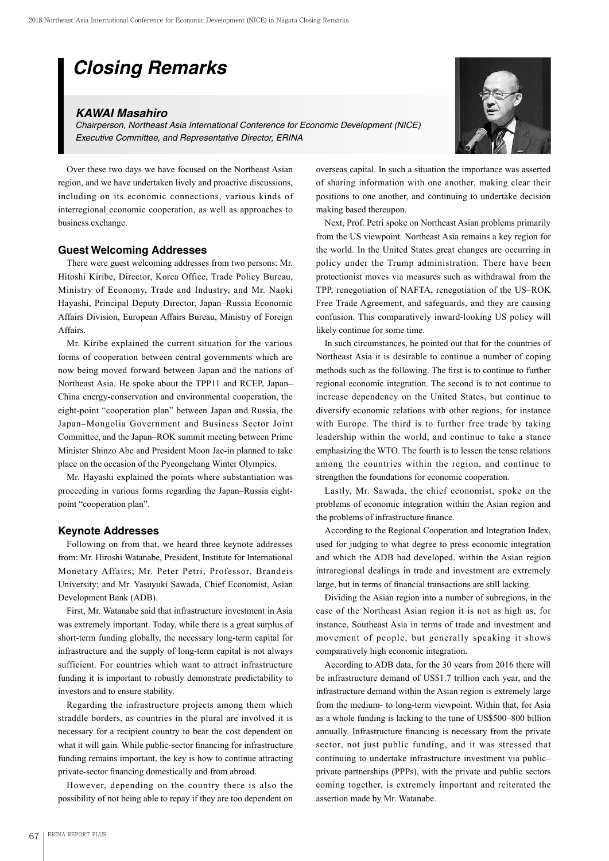# *Closing Remarks*

# *KAWAI Masahiro*

*Chairperson, Northeast Asia International Conference for Economic Development (NICE) Executive Committee, and Representative Director, ERINA*



### **Guest Welcoming Addresses**

There were guest welcoming addresses from two persons: Mr. Hitoshi Kiribe, Director, Korea Office, Trade Policy Bureau, Ministry of Economy, Trade and Industry, and Mr. Naoki Hayashi, Principal Deputy Director, Japan–Russia Economic Affairs Division, European Affairs Bureau, Ministry of Foreign Affairs.

Mr. Kiribe explained the current situation for the various forms of cooperation between central governments which are now being moved forward between Japan and the nations of Northeast Asia. He spoke about the TPP11 and RCEP, Japan– China energy-conservation and environmental cooperation, the eight-point "cooperation plan" between Japan and Russia, the Japan–Mongolia Government and Business Sector Joint Committee, and the Japan–ROK summit meeting between Prime Minister Shinzo Abe and President Moon Jae-in planned to take place on the occasion of the Pyeongchang Winter Olympics.

Mr. Hayashi explained the points where substantiation was proceeding in various forms regarding the Japan–Russia eightpoint "cooperation plan".

#### **Keynote Addresses**

Following on from that, we heard three keynote addresses from: Mr. Hiroshi Watanabe, President, Institute for International Monetary Affairs; Mr. Peter Petri, Professor, Brandeis University; and Mr. Yasuyuki Sawada, Chief Economist, Asian Development Bank (ADB).

First, Mr. Watanabe said that infrastructure investment in Asia was extremely important. Today, while there is a great surplus of short-term funding globally, the necessary long-term capital for infrastructure and the supply of long-term capital is not always sufficient. For countries which want to attract infrastructure funding it is important to robustly demonstrate predictability to investors and to ensure stability.

Regarding the infrastructure projects among them which straddle borders, as countries in the plural are involved it is necessary for a recipient country to bear the cost dependent on what it will gain. While public-sector financing for infrastructure funding remains important, the key is how to continue attracting private-sector financing domestically and from abroad.

However, depending on the country there is also the possibility of not being able to repay if they are too dependent on



overseas capital. In such a situation the importance was asserted of sharing information with one another, making clear their positions to one another, and continuing to undertake decision making based thereupon.

Next, Prof. Petri spoke on Northeast Asian problems primarily from the US viewpoint. Northeast Asia remains a key region for the world. In the United States great changes are occurring in policy under the Trump administration. There have been protectionist moves via measures such as withdrawal from the TPP, renegotiation of NAFTA, renegotiation of the US–ROK Free Trade Agreement, and safeguards, and they are causing confusion. This comparatively inward-looking US policy will likely continue for some time.

In such circumstances, he pointed out that for the countries of Northeast Asia it is desirable to continue a number of coping methods such as the following. The first is to continue to further regional economic integration. The second is to not continue to increase dependency on the United States, but continue to diversify economic relations with other regions, for instance with Europe. The third is to further free trade by taking leadership within the world, and continue to take a stance emphasizing the WTO. The fourth is to lessen the tense relations among the countries within the region, and continue to strengthen the foundations for economic cooperation.

Lastly, Mr. Sawada, the chief economist, spoke on the problems of economic integration within the Asian region and the problems of infrastructure finance.

According to the Regional Cooperation and Integration Index, used for judging to what degree to press economic integration and which the ADB had developed, within the Asian region intraregional dealings in trade and investment are extremely large, but in terms of financial transactions are still lacking.

Dividing the Asian region into a number of subregions, in the case of the Northeast Asian region it is not as high as, for instance, Southeast Asia in terms of trade and investment and movement of people, but generally speaking it shows comparatively high economic integration.

According to ADB data, for the 30 years from 2016 there will be infrastructure demand of US\$1.7 trillion each year, and the infrastructure demand within the Asian region is extremely large from the medium- to long-term viewpoint. Within that, for Asia as a whole funding is lacking to the tune of US\$500–800 billion annually. Infrastructure financing is necessary from the private sector, not just public funding, and it was stressed that continuing to undertake infrastructure investment via public– private partnerships (PPPs), with the private and public sectors coming together, is extremely important and reiterated the assertion made by Mr. Watanabe.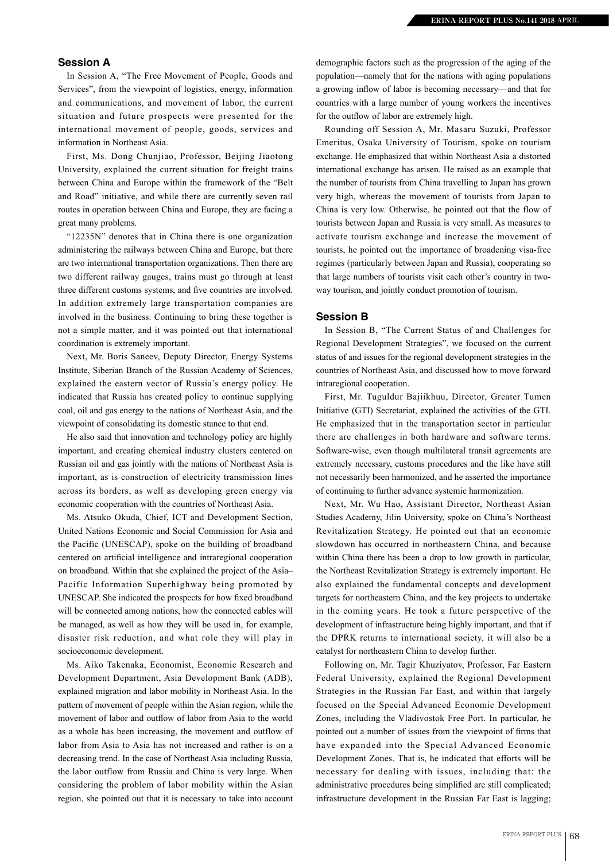## **Session A**

In Session A, "The Free Movement of People, Goods and Services", from the viewpoint of logistics, energy, information and communications, and movement of labor, the current situation and future prospects were presented for the international movement of people, goods, services and information in Northeast Asia.

First, Ms. Dong Chunjiao, Professor, Beijing Jiaotong University, explained the current situation for freight trains between China and Europe within the framework of the "Belt and Road" initiative, and while there are currently seven rail routes in operation between China and Europe, they are facing a great many problems.

"12235N" denotes that in China there is one organization administering the railways between China and Europe, but there are two international transportation organizations. Then there are two different railway gauges, trains must go through at least three different customs systems, and five countries are involved. In addition extremely large transportation companies are involved in the business. Continuing to bring these together is not a simple matter, and it was pointed out that international coordination is extremely important.

Next, Mr. Boris Saneev, Deputy Director, Energy Systems Institute, Siberian Branch of the Russian Academy of Sciences, explained the eastern vector of Russia's energy policy. He indicated that Russia has created policy to continue supplying coal, oil and gas energy to the nations of Northeast Asia, and the viewpoint of consolidating its domestic stance to that end.

He also said that innovation and technology policy are highly important, and creating chemical industry clusters centered on Russian oil and gas jointly with the nations of Northeast Asia is important, as is construction of electricity transmission lines across its borders, as well as developing green energy via economic cooperation with the countries of Northeast Asia.

Ms. Atsuko Okuda, Chief, ICT and Development Section, United Nations Economic and Social Commission for Asia and the Pacific (UNESCAP), spoke on the building of broadband centered on artificial intelligence and intraregional cooperation on broadband. Within that she explained the project of the Asia– Pacific Information Superhighway being promoted by UNESCAP. She indicated the prospects for how fixed broadband will be connected among nations, how the connected cables will be managed, as well as how they will be used in, for example, disaster risk reduction, and what role they will play in socioeconomic development.

Ms. Aiko Takenaka, Economist, Economic Research and Development Department, Asia Development Bank (ADB), explained migration and labor mobility in Northeast Asia. In the pattern of movement of people within the Asian region, while the movement of labor and outflow of labor from Asia to the world as a whole has been increasing, the movement and outflow of labor from Asia to Asia has not increased and rather is on a decreasing trend. In the case of Northeast Asia including Russia, the labor outflow from Russia and China is very large. When considering the problem of labor mobility within the Asian region, she pointed out that it is necessary to take into account

demographic factors such as the progression of the aging of the population—namely that for the nations with aging populations a growing inflow of labor is becoming necessary—and that for countries with a large number of young workers the incentives for the outflow of labor are extremely high.

Rounding off Session A, Mr. Masaru Suzuki, Professor Emeritus, Osaka University of Tourism, spoke on tourism exchange. He emphasized that within Northeast Asia a distorted international exchange has arisen. He raised as an example that the number of tourists from China travelling to Japan has grown very high, whereas the movement of tourists from Japan to China is very low. Otherwise, he pointed out that the flow of tourists between Japan and Russia is very small. As measures to activate tourism exchange and increase the movement of tourists, he pointed out the importance of broadening visa-free regimes (particularly between Japan and Russia), cooperating so that large numbers of tourists visit each other's country in twoway tourism, and jointly conduct promotion of tourism.

#### **Session B**

In Session B, "The Current Status of and Challenges for Regional Development Strategies", we focused on the current status of and issues for the regional development strategies in the countries of Northeast Asia, and discussed how to move forward intraregional cooperation.

First, Mr. Tuguldur Bajiikhuu, Director, Greater Tumen Initiative (GTI) Secretariat, explained the activities of the GTI. He emphasized that in the transportation sector in particular there are challenges in both hardware and software terms. Software-wise, even though multilateral transit agreements are extremely necessary, customs procedures and the like have still not necessarily been harmonized, and he asserted the importance of continuing to further advance systemic harmonization.

Next, Mr. Wu Hao, Assistant Director, Northeast Asian Studies Academy, Jilin University, spoke on China's Northeast Revitalization Strategy. He pointed out that an economic slowdown has occurred in northeastern China, and because within China there has been a drop to low growth in particular, the Northeast Revitalization Strategy is extremely important. He also explained the fundamental concepts and development targets for northeastern China, and the key projects to undertake in the coming years. He took a future perspective of the development of infrastructure being highly important, and that if the DPRK returns to international society, it will also be a catalyst for northeastern China to develop further.

Following on, Mr. Tagir Khuziyatov, Professor, Far Eastern Federal University, explained the Regional Development Strategies in the Russian Far East, and within that largely focused on the Special Advanced Economic Development Zones, including the Vladivostok Free Port. In particular, he pointed out a number of issues from the viewpoint of firms that have expanded into the Special Advanced Economic Development Zones. That is, he indicated that efforts will be necessary for dealing with issues, including that: the administrative procedures being simplified are still complicated; infrastructure development in the Russian Far East is lagging;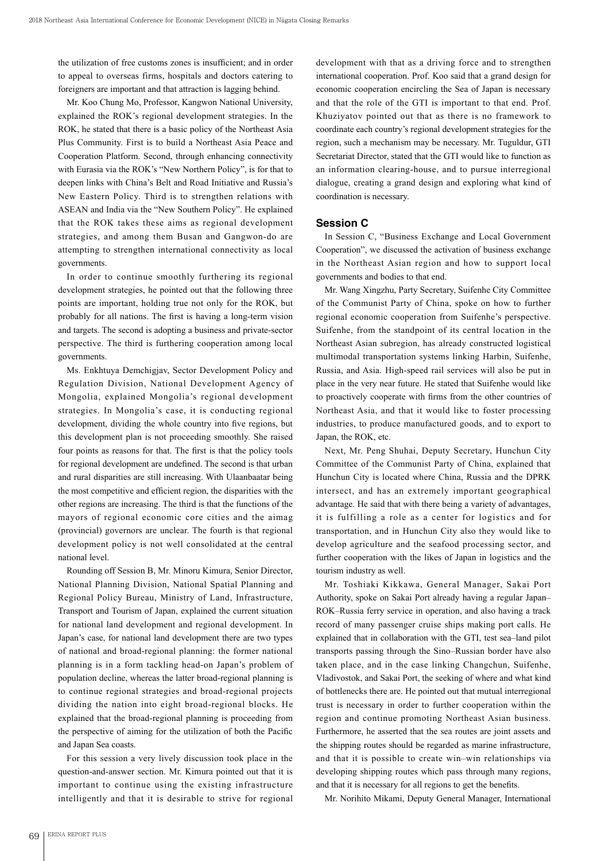the utilization of free customs zones is insufficient; and in order to appeal to overseas firms, hospitals and doctors catering to foreigners are important and that attraction is lagging behind.

Mr. Koo Chung Mo, Professor, Kangwon National University, explained the ROK's regional development strategies. In the ROK, he stated that there is a basic policy of the Northeast Asia Plus Community. First is to build a Northeast Asia Peace and Cooperation Platform. Second, through enhancing connectivity with Eurasia via the ROK's "New Northern Policy", is for that to deepen links with China's Belt and Road Initiative and Russia's New Eastern Policy. Third is to strengthen relations with ASEAN and India via the "New Southern Policy". He explained that the ROK takes these aims as regional development strategies, and among them Busan and Gangwon-do are attempting to strengthen international connectivity as local governments.

In order to continue smoothly furthering its regional development strategies, he pointed out that the following three points are important, holding true not only for the ROK, but probably for all nations. The first is having a long-term vision and targets. The second is adopting a business and private-sector perspective. The third is furthering cooperation among local governments.

Ms. Enkhtuya Demchigjav, Sector Development Policy and Regulation Division, National Development Agency of Mongolia, explained Mongolia's regional development strategies. In Mongolia's case, it is conducting regional development, dividing the whole country into five regions, but this development plan is not proceeding smoothly. She raised four points as reasons for that. The first is that the policy tools for regional development are undefined. The second is that urban and rural disparities are still increasing. With Ulaanbaatar being the most competitive and efficient region, the disparities with the other regions are increasing. The third is that the functions of the mayors of regional economic core cities and the aimag (provincial) governors are unclear. The fourth is that regional development policy is not well consolidated at the central national level.

Rounding off Session B, Mr. Minoru Kimura, Senior Director, National Planning Division, National Spatial Planning and Regional Policy Bureau, Ministry of Land, Infrastructure, Transport and Tourism of Japan, explained the current situation for national land development and regional development. In Japan's case, for national land development there are two types of national and broad-regional planning: the former national planning is in a form tackling head-on Japan's problem of population decline, whereas the latter broad-regional planning is to continue regional strategies and broad-regional projects dividing the nation into eight broad-regional blocks. He explained that the broad-regional planning is proceeding from the perspective of aiming for the utilization of both the Pacific and Japan Sea coasts.

For this session a very lively discussion took place in the question-and-answer section. Mr. Kimura pointed out that it is important to continue using the existing infrastructure intelligently and that it is desirable to strive for regional

development with that as a driving force and to strengthen international cooperation. Prof. Koo said that a grand design for economic cooperation encircling the Sea of Japan is necessary and that the role of the GTI is important to that end. Prof. Khuziyatov pointed out that as there is no framework to coordinate each country's regional development strategies for the region, such a mechanism may be necessary. Mr. Tuguldur, GTI Secretariat Director, stated that the GTI would like to function as an information clearing-house, and to pursue interregional dialogue, creating a grand design and exploring what kind of coordination is necessary.

### **Session C**

In Session C, "Business Exchange and Local Government Cooperation", we discussed the activation of business exchange in the Northeast Asian region and how to support local governments and bodies to that end.

Mr. Wang Xingzhu, Party Secretary, Suifenhe City Committee of the Communist Party of China, spoke on how to further regional economic cooperation from Suifenhe's perspective. Suifenhe, from the standpoint of its central location in the Northeast Asian subregion, has already constructed logistical multimodal transportation systems linking Harbin, Suifenhe, Russia, and Asia. High-speed rail services will also be put in place in the very near future. He stated that Suifenhe would like to proactively cooperate with firms from the other countries of Northeast Asia, and that it would like to foster processing industries, to produce manufactured goods, and to export to Japan, the ROK, etc.

Next, Mr. Peng Shuhai, Deputy Secretary, Hunchun City Committee of the Communist Party of China, explained that Hunchun City is located where China, Russia and the DPRK intersect, and has an extremely important geographical advantage. He said that with there being a variety of advantages, it is fulfilling a role as a center for logistics and for transportation, and in Hunchun City also they would like to develop agriculture and the seafood processing sector, and further cooperation with the likes of Japan in logistics and the tourism industry as well.

Mr. Toshiaki Kikkawa, General Manager, Sakai Port Authority, spoke on Sakai Port already having a regular Japan– ROK–Russia ferry service in operation, and also having a track record of many passenger cruise ships making port calls. He explained that in collaboration with the GTI, test sea–land pilot transports passing through the Sino–Russian border have also taken place, and in the case linking Changchun, Suifenhe, Vladivostok, and Sakai Port, the seeking of where and what kind of bottlenecks there are. He pointed out that mutual interregional trust is necessary in order to further cooperation within the region and continue promoting Northeast Asian business. Furthermore, he asserted that the sea routes are joint assets and the shipping routes should be regarded as marine infrastructure, and that it is possible to create win–win relationships via developing shipping routes which pass through many regions, and that it is necessary for all regions to get the benefits.

Mr. Norihito Mikami, Deputy General Manager, International